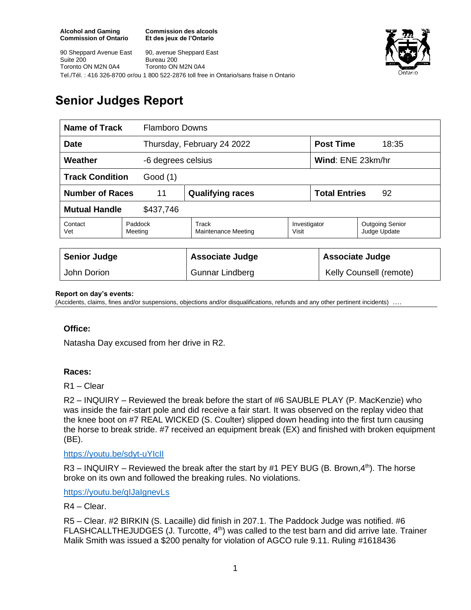**Commission des alcools Et des jeux de l'Ontario**



90 Sheppard Avenue East Suite 200 Toronto ON M2N 0A4 90, avenue Sheppard East Bureau 200 Toronto ON M2N 0A4 Tel./Tél. : 416 326-8700 or/ou 1 800 522-2876 toll free in Ontario/sans fraise n Ontario

# **Senior Judges Report**

| Name of Track<br><b>Flamboro Downs</b> |                    |                              |                       |                            |                                        |
|----------------------------------------|--------------------|------------------------------|-----------------------|----------------------------|----------------------------------------|
| <b>Date</b>                            |                    | Thursday, February 24 2022   |                       | <b>Post Time</b>           | 18:35                                  |
| Weather<br>-6 degrees celsius          |                    |                              |                       | Wind: ENE 23km/hr          |                                        |
| <b>Track Condition</b><br>Good (1)     |                    |                              |                       |                            |                                        |
| <b>Number of Races</b><br>11           |                    | <b>Qualifying races</b>      |                       | <b>Total Entries</b><br>92 |                                        |
| <b>Mutual Handle</b><br>\$437,746      |                    |                              |                       |                            |                                        |
| Contact<br>Vet                         | Paddock<br>Meeting | Track<br>Maintenance Meeting | Investigator<br>Visit |                            | <b>Outgoing Senior</b><br>Judge Update |
|                                        |                    |                              |                       |                            |                                        |
| <b>Senior Judge</b>                    |                    | <b>Associate Judge</b>       |                       | <b>Associate Judge</b>     |                                        |
| John Dorion                            |                    | <b>Gunnar Lindberg</b>       |                       | Kelly Counsell (remote)    |                                        |

#### **Report on day's events:**

(Accidents, claims, fines and/or suspensions, objections and/or disqualifications, refunds and any other pertinent incidents)

## **Office:**

Natasha Day excused from her drive in R2.

## **Races:**

R1 – Clear

R2 – INQUIRY – Reviewed the break before the start of #6 SAUBLE PLAY (P. MacKenzie) who was inside the fair-start pole and did receive a fair start. It was observed on the replay video that the knee boot on #7 REAL WICKED (S. Coulter) slipped down heading into the first turn causing the horse to break stride. #7 received an equipment break (EX) and finished with broken equipment (BE).

## <https://youtu.be/sdyt-uYIcII>

R3 – INQUIRY – Reviewed the break after the start by #1 PEY BUG (B. Brown,  $4<sup>th</sup>$ ). The horse broke on its own and followed the breaking rules. No violations.

<https://youtu.be/qIJaIgnevLs>

## R4 – Clear.

R5 – Clear. #2 BIRKIN (S. Lacaille) did finish in 207.1. The Paddock Judge was notified. #6 FLASHCALLTHEJUDGES (J. Turcotte, 4<sup>th</sup>) was called to the test barn and did arrive late. Trainer Malik Smith was issued a \$200 penalty for violation of AGCO rule 9.11. Ruling #1618436